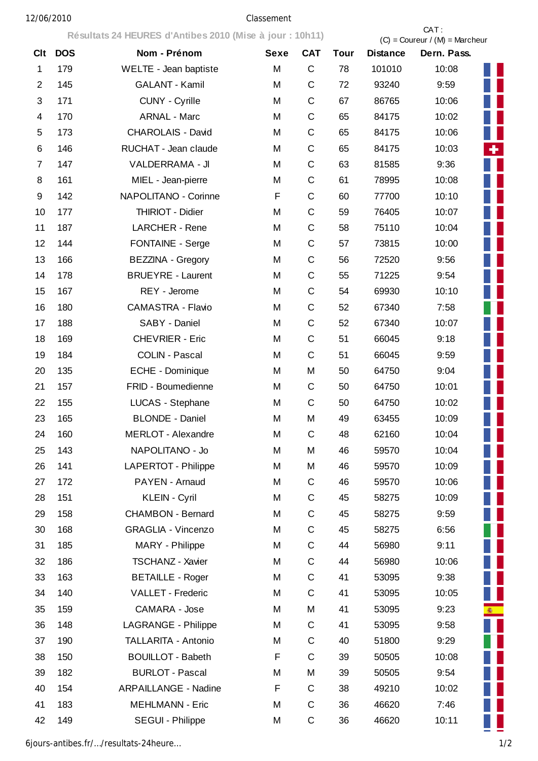## 12/06/2010 Classement

**Résultats 24 HEURES d'Antibes 2010 (Mise à jour : 10h11)** CAT :

|              |            | Resultats $24$ HEURES Q Attubes $2010$ (iiiise a jour : Tun IT) |             | $(C) =$ Coureur / $(M) =$ Marcheur |             |                 |             |
|--------------|------------|-----------------------------------------------------------------|-------------|------------------------------------|-------------|-----------------|-------------|
| Clt          | <b>DOS</b> | Nom - Prénom                                                    | <b>Sexe</b> | <b>CAT</b>                         | <b>Tour</b> | <b>Distance</b> | Dern. Pass. |
| $\mathbf{1}$ | 179        | WELTE - Jean baptiste                                           | M           | $\mathsf{C}$                       | 78          | 101010          | 10:08       |
| 2            | 145        | <b>GALANT - Kamil</b>                                           | M           | $\mathsf{C}$                       | 72          | 93240           | 9:59        |
| 3            | 171        | CUNY - Cyrille                                                  | M           | $\mathbf C$                        | 67          | 86765           | 10:06       |
| 4            | 170        | <b>ARNAL - Marc</b>                                             | M           | $\mathbf C$                        | 65          | 84175           | 10:02       |
| 5            | 173        | CHAROLAIS - David                                               | M           | $\mathbf C$                        | 65          | 84175           | 10:06       |
| 6            | 146        | RUCHAT - Jean claude                                            | M           | $\mathbf C$                        | 65          | 84175           | H<br>10:03  |
| 7            | 147        | <b>VALDERRAMA - JI</b>                                          | M           | $\mathsf C$                        | 63          | 81585           | 9:36        |
| 8            | 161        | MIEL - Jean-pierre                                              | M           | $\mathsf C$                        | 61          | 78995           | 10:08       |
| 9            | 142        | NAPOLITANO - Corinne                                            | F           | $\mathsf{C}$                       | 60          | 77700           | 10:10       |
| 10           | 177        | <b>THIRIOT - Didier</b>                                         | M           | $\mathsf C$                        | 59          | 76405           | 10:07       |
| 11           | 187        | LARCHER - Rene                                                  | M           | $\mathsf{C}$                       | 58          | 75110           | 10:04       |
| 12           | 144        | FONTAINE - Serge                                                | M           | $\mathsf C$                        | 57          | 73815           | 10:00       |
| 13           | 166        | <b>BEZZINA - Gregory</b>                                        | M           | $\mathsf C$                        | 56          | 72520           | 9:56        |
| 14           | 178        | <b>BRUEYRE - Laurent</b>                                        | M           | $\mathbf C$                        | 55          | 71225           | 9:54        |
| 15           | 167        | REY - Jerome                                                    | M           | $\mathsf{C}$                       | 54          | 69930           | 10:10       |
| 16           | 180        | CAMASTRA - Flavio                                               | M           | $\mathsf{C}$                       | 52          | 67340           | 7:58        |
| 17           | 188        | SABY - Daniel                                                   | M           | $\mathsf{C}$                       | 52          | 67340           | 10:07       |
| 18           | 169        | <b>CHEVRIER - Eric</b>                                          | M           | $\mathbf C$                        | 51          | 66045           | 9:18        |
| 19           | 184        | COLIN - Pascal                                                  | M           | $\mathbf C$                        | 51          | 66045           | 9:59        |
| 20           | 135        | ECHE - Dominique                                                | M           | M                                  | 50          | 64750           | 9:04        |
| 21           | 157        | FRID - Boumedienne                                              | M           | $\mathsf C$                        | 50          | 64750           | 10:01       |
| 22           | 155        | LUCAS - Stephane                                                | M           | $\mathsf C$                        | 50          | 64750           | 10:02       |
| 23           | 165        | <b>BLONDE - Daniel</b>                                          | M           | M                                  | 49          | 63455           | 10:09       |
| 24           | 160        | <b>MERLOT - Alexandre</b>                                       | M           | C                                  | 48          | 62160           | 10:04       |
| 25           | 143        | NAPOLITANO - Jo                                                 | M           | M                                  | 46          | 59570           | 10:04       |
| 26           | 141        | LAPERTOT - Philippe                                             | M           | M                                  | 46          | 59570           | 10:09       |
| 27           | 172        | PAYEN - Arnaud                                                  | M           | C                                  | 46          | 59570           | 10:06       |
| 28           | 151        | <b>KLEIN - Cyril</b>                                            | M           | $\mathsf C$                        | 45          | 58275           | 10:09       |
| 29           | 158        | <b>CHAMBON - Bernard</b>                                        | M           | C                                  | 45          | 58275           | 9:59        |
| 30           | 168        | <b>GRAGLIA - Vincenzo</b>                                       | M           | $\mathbf C$                        | 45          | 58275           | 6:56        |
| 31           | 185        | MARY - Philippe                                                 | M           | C                                  | 44          | 56980           | 9:11        |
| 32           | 186        | TSCHANZ - Xavier                                                | M           | $\mathsf C$                        | 44          | 56980           | 10:06       |
| 33           | 163        | <b>BETAILLE - Roger</b>                                         | M           | $\mathsf C$                        | 41          | 53095           | 9:38        |
| 34           | 140        | VALLET - Frederic                                               | M           | $\mathbf C$                        | 41          | 53095           | 10:05       |
| 35           | 159        | CAMARA - Jose                                                   | M           | M                                  | 41          | 53095           | ŵ.<br>9:23  |
| 36           | 148        | LAGRANGE - Philippe                                             | M           | C                                  | 41          | 53095           | 9:58        |
| 37           | 190        | TALLARITA - Antonio                                             | M           | C                                  | 40          | 51800           | 9:29        |
| 38           | 150        | <b>BOUILLOT - Babeth</b>                                        | F           | C                                  | 39          | 50505           | 10:08       |
| 39           | 182        | <b>BURLOT - Pascal</b>                                          | M           | M                                  | 39          | 50505           | 9:54        |
| 40           | 154        | <b>ARPAILLANGE - Nadine</b>                                     | F           | C                                  | 38          | 49210           | 10:02       |
| 41           | 183        | <b>MEHLMANN - Eric</b>                                          | M           | $\mathsf C$                        | 36          | 46620           | 7:46        |
| 42           | 149        | SEGUI - Philippe                                                | M           | C                                  | 36          | 46620           | 10:11       |